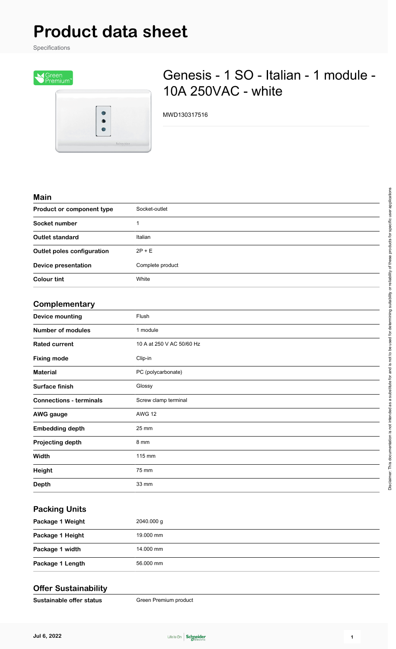# **Product data sheet**

Specifications



## Genesis - 1 SO - Italian - 1 module - 10A 250VAC - white

MWD130317516

#### **Main**

| Product or component type         | Socket-outlet    |
|-----------------------------------|------------------|
| Socket number                     |                  |
| <b>Outlet standard</b>            | Italian          |
| <b>Outlet poles configuration</b> | $2P + E$         |
| <b>Device presentation</b>        | Complete product |
| <b>Colour tint</b>                | White            |
|                                   |                  |

#### **Complementary**

| - - <i>.</i>                   |                           |
|--------------------------------|---------------------------|
| <b>Device mounting</b>         | Flush                     |
| <b>Number of modules</b>       | 1 module                  |
| <b>Rated current</b>           | 10 A at 250 V AC 50/60 Hz |
| <b>Fixing mode</b>             | Clip-in                   |
| <b>Material</b>                | PC (polycarbonate)        |
| Surface finish                 | Glossy                    |
| <b>Connections - terminals</b> | Screw clamp terminal      |
| <b>AWG</b> gauge               | <b>AWG 12</b>             |
| <b>Embedding depth</b>         | 25 mm                     |
| Projecting depth               | 8 mm                      |
| Width                          | 115 mm                    |
| Height                         | 75 mm                     |
| <b>Depth</b>                   | 33 mm                     |

### **Packing Units**

| Package 1 Weight | 2040.000 g |
|------------------|------------|
| Package 1 Height | 19.000 mm  |
| Package 1 width  | 14.000 mm  |
| Package 1 Length | 56.000 mm  |

#### **Offer Sustainability**

**Sustainable offer status** Green Premium product